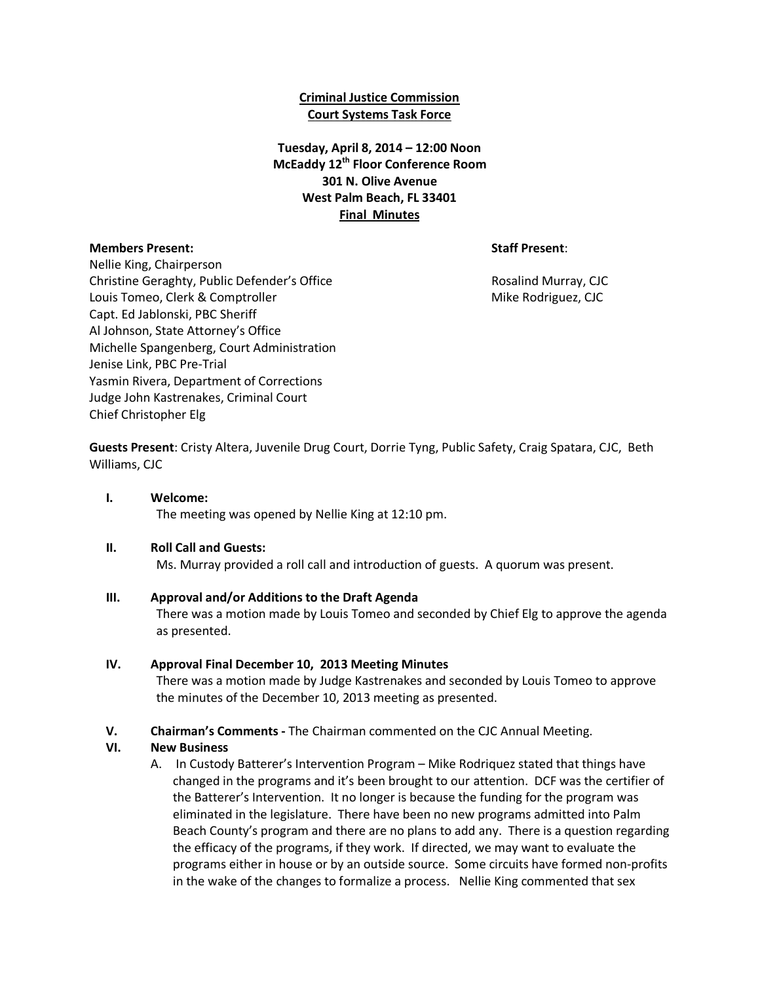## **Criminal Justice Commission Court Systems Task Force**

# **Tuesday, April 8, 2014 – 12:00 Noon McEaddy 12th Floor Conference Room 301 N. Olive Avenue West Palm Beach, FL 33401 Final Minutes**

#### **Members Present: Staff Present**:

Nellie King, Chairperson Christine Geraghty, Public Defender's Office **Rosalind Murray, CJC** Rosalind Murray, CJC Louis Tomeo, Clerk & Comptroller Mike Rodriguez, CJC Capt. Ed Jablonski, PBC Sheriff Al Johnson, State Attorney's Office Michelle Spangenberg, Court Administration Jenise Link, PBC Pre-Trial Yasmin Rivera, Department of Corrections Judge John Kastrenakes, Criminal Court Chief Christopher Elg

**Guests Present**: Cristy Altera, Juvenile Drug Court, Dorrie Tyng, Public Safety, Craig Spatara, CJC, Beth Williams, CJC

**I. Welcome:** The meeting was opened by Nellie King at 12:10 pm.

#### **II. Roll Call and Guests:**

Ms. Murray provided a roll call and introduction of guests. A quorum was present.

#### **III. Approval and/or Additions to the Draft Agenda**

There was a motion made by Louis Tomeo and seconded by Chief Elg to approve the agenda as presented.

## **IV. Approval Final December 10, 2013 Meeting Minutes**

There was a motion made by Judge Kastrenakes and seconded by Louis Tomeo to approve the minutes of the December 10, 2013 meeting as presented.

**V. Chairman's Comments -** The Chairman commented on the CJC Annual Meeting.

## **VI. New Business**

A. In Custody Batterer's Intervention Program – Mike Rodriquez stated that things have changed in the programs and it's been brought to our attention. DCF was the certifier of the Batterer's Intervention. It no longer is because the funding for the program was eliminated in the legislature. There have been no new programs admitted into Palm Beach County's program and there are no plans to add any. There is a question regarding the efficacy of the programs, if they work. If directed, we may want to evaluate the programs either in house or by an outside source. Some circuits have formed non-profits in the wake of the changes to formalize a process. Nellie King commented that sex